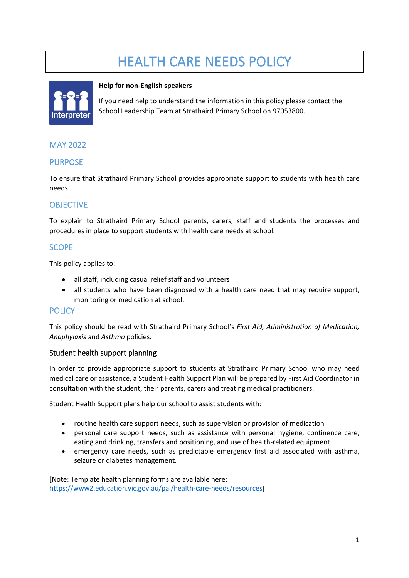# HEALTH CARE NEEDS POLICY



#### **Help for non-English speakers**

If you need help to understand the information in this policy please contact the School Leadership Team at Strathaird Primary School on 97053800.

## MAY 2022

#### PURPOSE

To ensure that Strathaird Primary School provides appropriate support to students with health care needs.

## **OBJECTIVE**

To explain to Strathaird Primary School parents, carers, staff and students the processes and procedures in place to support students with health care needs at school.

## SCOPE

This policy applies to:

- all staff, including casual relief staff and volunteers
- all students who have been diagnosed with a health care need that may require support, monitoring or medication at school.

#### **POLICY**

This policy should be read with Strathaird Primary School's *First Aid, Administration of Medication, Anaphylaxis* and *Asthma* policies.

#### Student health support planning

In order to provide appropriate support to students at Strathaird Primary School who may need medical care or assistance, a Student Health Support Plan will be prepared by First Aid Coordinator in consultation with the student, their parents, carers and treating medical practitioners.

Student Health Support plans help our school to assist students with:

- routine health care support needs, such as supervision or provision of medication
- personal care support needs, such as assistance with personal hygiene, continence care, eating and drinking, transfers and positioning, and use of health-related equipment
- emergency care needs, such as predictable emergency first aid associated with asthma, seizure or diabetes management.

[Note: Template health planning forms are available here: [https://www2.education.vic.gov.au/pal/health-care-needs/resources\]](https://www2.education.vic.gov.au/pal/health-care-needs/resources)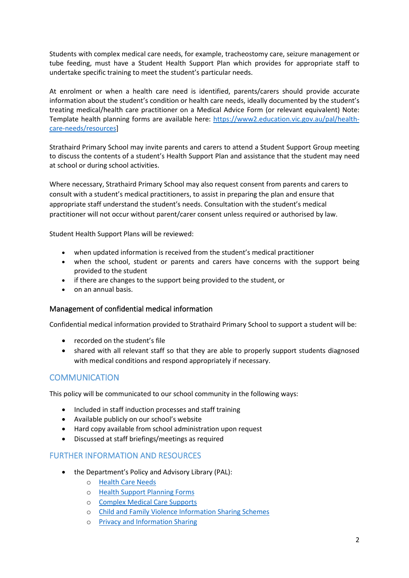Students with complex medical care needs, for example, tracheostomy care, seizure management or tube feeding, must have a Student Health Support Plan which provides for appropriate staff to undertake specific training to meet the student's particular needs.

At enrolment or when a health care need is identified, parents/carers should provide accurate information about the student's condition or health care needs, ideally documented by the student's treating medical/health care practitioner on a Medical Advice Form (or relevant equivalent) Note: Template health planning forms are available here: [https://www2.education.vic.gov.au/pal/health](https://www2.education.vic.gov.au/pal/health-care-needs/resources)[care-needs/resources\]](https://www2.education.vic.gov.au/pal/health-care-needs/resources)

Strathaird Primary School may invite parents and carers to attend a Student Support Group meeting to discuss the contents of a student's Health Support Plan and assistance that the student may need at school or during school activities.

Where necessary, Strathaird Primary School may also request consent from parents and carers to consult with a student's medical practitioners, to assist in preparing the plan and ensure that appropriate staff understand the student's needs. Consultation with the student's medical practitioner will not occur without parent/carer consent unless required or authorised by law.

Student Health Support Plans will be reviewed:

- when updated information is received from the student's medical practitioner
- when the school, student or parents and carers have concerns with the support being provided to the student
- if there are changes to the support being provided to the student, or
- on an annual basis.

#### Management of confidential medical information

Confidential medical information provided to Strathaird Primary School to support a student will be:

- recorded on the student's file
- shared with all relevant staff so that they are able to properly support students diagnosed with medical conditions and respond appropriately if necessary.

## **COMMUNICATION**

This policy will be communicated to our school community in the following ways:

- Included in staff induction processes and staff training
- Available publicly on our school's website
- Hard copy available from school administration upon request
- Discussed at staff briefings/meetings as required

#### FURTHER INFORMATION AND RESOURCES

- the Department's Policy and Advisory Library (PAL):
	- o [Health Care Needs](https://www2.education.vic.gov.au/pal/health-care-needs/policy)
	- o [Health Support Planning Forms](https://www2.education.vic.gov.au/pal/health-care-needs/resources)
	- o [Complex Medical Care Supports](https://www2.education.vic.gov.au/pal/health-care-needs/guidance/complex-medical-care-supports)
	- o [Child and Family Violence Information Sharing Schemes](https://www2.education.vic.gov.au/pal/information-sharing-schemes/policy)
	- o [Privacy and Information Sharing](https://www2.education.vic.gov.au/pal/privacy-information-sharing/policy)